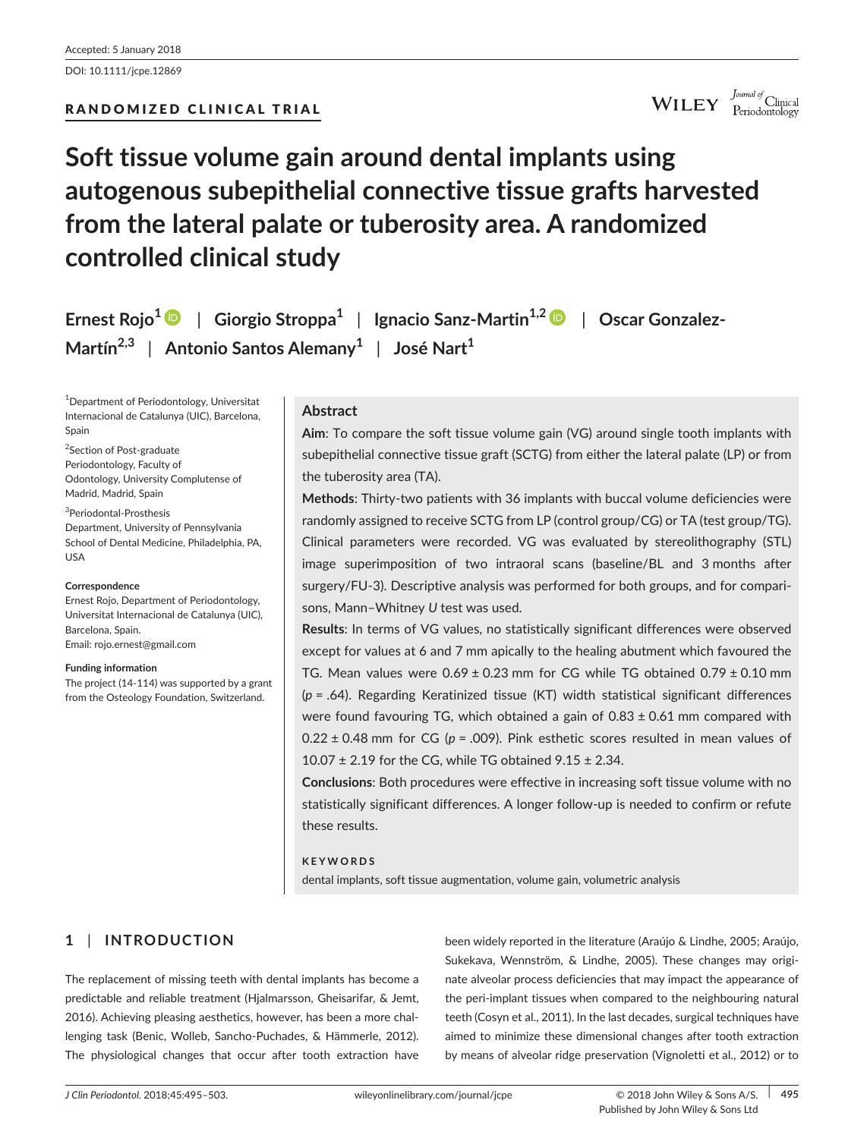WILEY Journal of Clinical

## **Soft tissue volume gain around dental implants using autogenous subepithelial connective tissue grafts harvested from the lateral palate or tuberosity area. A randomized controlled clinical study**

**Ernest Rojo<sup>1</sup>** | **Giorgio Stroppa<sup>1</sup>** | **Ignacio Sanz-Martin1,[2](http://orcid.org/0000-0001-7037-1163)** | **Oscar Gonzalez-Martín2,3** | **Antonio Santos Alemany<sup>1</sup>** | **José Nart<sup>1</sup>**

1 Department of Periodontology, Universitat Internacional de Catalunya (UIC), Barcelona, Spain

<sup>2</sup>Section of Post-graduate Periodontology, Faculty of Odontology, University Complutense of Madrid, Madrid, Spain

3 Periodontal-Prosthesis Department, University of Pennsylvania School of Dental Medicine, Philadelphia, PA, USA

#### **Correspondence**

Ernest Rojo, Department of Periodontology, Universitat Internacional de Catalunya (UIC), Barcelona, Spain. Email: [rojo.ernest@gmail.com](mailto:rojo.ernest@gmail.com)

**Funding information** The project (14-114) was supported by a grant from the Osteology Foundation, Switzerland.

## **Abstract**

**Aim**: To compare the soft tissue volume gain (VG) around single tooth implants with subepithelial connective tissue graft (SCTG) from either the lateral palate (LP) or from the tuberosity area (TA).

**Methods**: Thirty-two patients with 36 implants with buccal volume deficiencies were randomly assigned to receive SCTG from LP (control group/CG) or TA (test group/TG). Clinical parameters were recorded. VG was evaluated by stereolithography (STL) image superimposition of two intraoral scans (baseline/BL and 3 months after surgery/FU-3). Descriptive analysis was performed for both groups, and for comparisons, Mann–Whitney *U* test was used.

**Results**: In terms of VG values, no statistically significant differences were observed except for values at 6 and 7 mm apically to the healing abutment which favoured the TG. Mean values were  $0.69 \pm 0.23$  mm for CG while TG obtained  $0.79 \pm 0.10$  mm (*p* = .64). Regarding Keratinized tissue (KT) width statistical significant differences were found favouring TG, which obtained a gain of  $0.83 \pm 0.61$  mm compared with  $0.22 \pm 0.48$  mm for CG ( $p = .009$ ). Pink esthetic scores resulted in mean values of 10.07  $\pm$  2.19 for the CG, while TG obtained 9.15  $\pm$  2.34.

**Conclusions**: Both procedures were effective in increasing soft tissue volume with no statistically significant differences. A longer follow-up is needed to confirm or refute these results.

## **KEYWORDS**

dental implants, soft tissue augmentation, volume gain, volumetric analysis

## **1** | **INTRODUCTION**

The replacement of missing teeth with dental implants has become a predictable and reliable treatment (Hjalmarsson, Gheisarifar, & Jemt, 2016). Achieving pleasing aesthetics, however, has been a more challenging task (Benic, Wolleb, Sancho-Puchades, & Hämmerle, 2012). The physiological changes that occur after tooth extraction have

been widely reported in the literature (Araújo & Lindhe, 2005; Araújo, Sukekava, Wennström, & Lindhe, 2005). These changes may originate alveolar process deficiencies that may impact the appearance of the peri-implant tissues when compared to the neighbouring natural teeth (Cosyn et al., 2011). In the last decades, surgical techniques have aimed to minimize these dimensional changes after tooth extraction by means of alveolar ridge preservation (Vignoletti et al., 2012) or to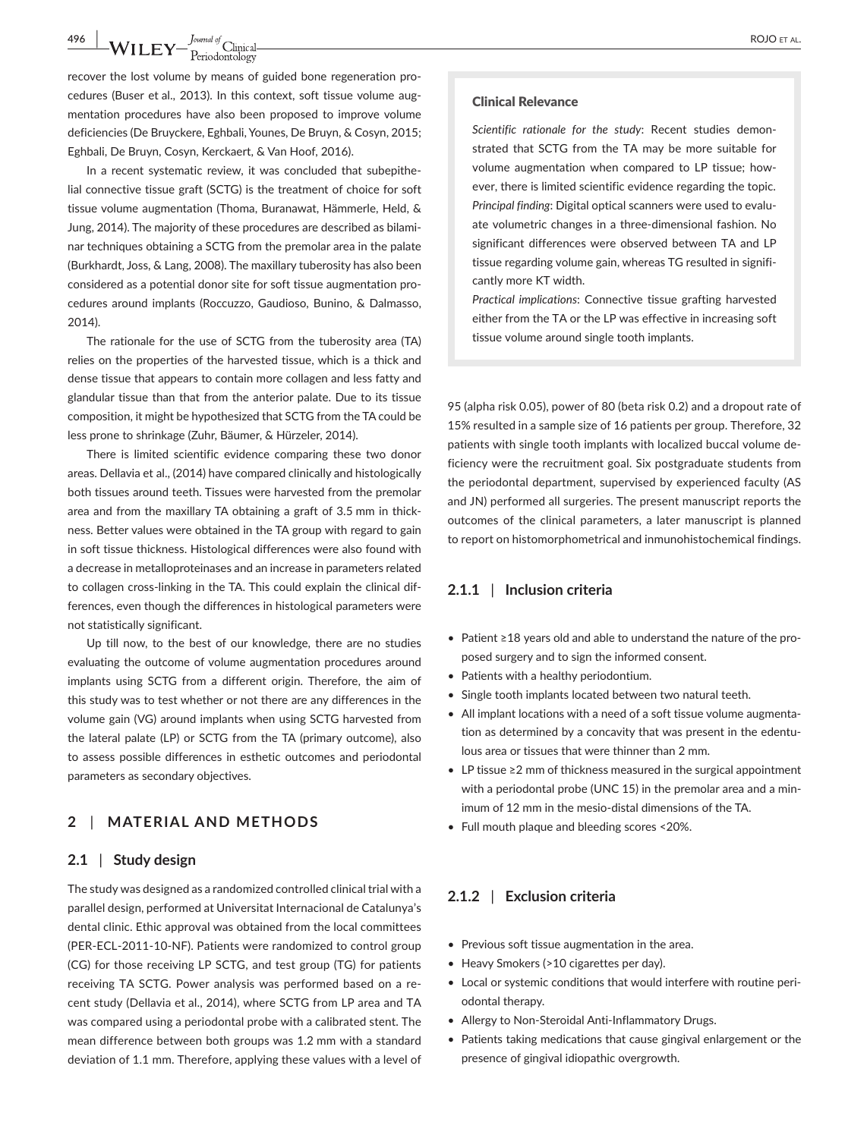# **496 WILEY**  $\frac{J_{\text{quad of}}}{P_{\text{eriodontology}}}$  ROJO ET AL.

recover the lost volume by means of guided bone regeneration procedures (Buser et al., 2013). In this context, soft tissue volume augmentation procedures have also been proposed to improve volume deficiencies (De Bruyckere, Eghbali, Younes, De Bruyn, & Cosyn, 2015; Eghbali, De Bruyn, Cosyn, Kerckaert, & Van Hoof, 2016).

In a recent systematic review, it was concluded that subepithelial connective tissue graft (SCTG) is the treatment of choice for soft tissue volume augmentation (Thoma, Buranawat, Hämmerle, Held, & Jung, 2014). The majority of these procedures are described as bilaminar techniques obtaining a SCTG from the premolar area in the palate (Burkhardt, Joss, & Lang, 2008). The maxillary tuberosity has also been considered as a potential donor site for soft tissue augmentation procedures around implants (Roccuzzo, Gaudioso, Bunino, & Dalmasso, 2014).

The rationale for the use of SCTG from the tuberosity area (TA) relies on the properties of the harvested tissue, which is a thick and dense tissue that appears to contain more collagen and less fatty and glandular tissue than that from the anterior palate. Due to its tissue composition, it might be hypothesized that SCTG from the TA could be less prone to shrinkage (Zuhr, Bäumer, & Hürzeler, 2014).

There is limited scientific evidence comparing these two donor areas. Dellavia et al., (2014) have compared clinically and histologically both tissues around teeth. Tissues were harvested from the premolar area and from the maxillary TA obtaining a graft of 3.5 mm in thickness. Better values were obtained in the TA group with regard to gain in soft tissue thickness. Histological differences were also found with a decrease in metalloproteinases and an increase in parameters related to collagen cross-linking in the TA. This could explain the clinical differences, even though the differences in histological parameters were not statistically significant.

Up till now, to the best of our knowledge, there are no studies evaluating the outcome of volume augmentation procedures around implants using SCTG from a different origin. Therefore, the aim of this study was to test whether or not there are any differences in the volume gain (VG) around implants when using SCTG harvested from the lateral palate (LP) or SCTG from the TA (primary outcome), also to assess possible differences in esthetic outcomes and periodontal parameters as secondary objectives.

## **2** | **MATERIAL AND METHODS**

#### **2.1** | **Study design**

The study was designed as a randomized controlled clinical trial with a parallel design, performed at Universitat Internacional de Catalunya's dental clinic. Ethic approval was obtained from the local committees (PER-ECL-2011-10-NF). Patients were randomized to control group (CG) for those receiving LP SCTG, and test group (TG) for patients receiving TA SCTG. Power analysis was performed based on a recent study (Dellavia et al., 2014), where SCTG from LP area and TA was compared using a periodontal probe with a calibrated stent. The mean difference between both groups was 1.2 mm with a standard deviation of 1.1 mm. Therefore, applying these values with a level of

#### Clinical Relevance

*Scientific rationale for the study*: Recent studies demonstrated that SCTG from the TA may be more suitable for volume augmentation when compared to LP tissue; however, there is limited scientific evidence regarding the topic. *Principal finding*: Digital optical scanners were used to evaluate volumetric changes in a three-dimensional fashion. No significant differences were observed between TA and LP tissue regarding volume gain, whereas TG resulted in significantly more KT width.

*Practical implications*: Connective tissue grafting harvested either from the TA or the LP was effective in increasing soft tissue volume around single tooth implants.

95 (alpha risk 0.05), power of 80 (beta risk 0.2) and a dropout rate of 15% resulted in a sample size of 16 patients per group. Therefore, 32 patients with single tooth implants with localized buccal volume deficiency were the recruitment goal. Six postgraduate students from the periodontal department, supervised by experienced faculty (AS and JN) performed all surgeries. The present manuscript reports the outcomes of the clinical parameters, a later manuscript is planned to report on histomorphometrical and inmunohistochemical findings.

## **2.1.1** | **Inclusion criteria**

- • Patient ≥18 years old and able to understand the nature of the proposed surgery and to sign the informed consent.
- Patients with a healthy periodontium.
- Single tooth implants located between two natural teeth.
- All implant locations with a need of a soft tissue volume augmentation as determined by a concavity that was present in the edentulous area or tissues that were thinner than 2 mm.
- • LP tissue ≥2 mm of thickness measured in the surgical appointment with a periodontal probe (UNC 15) in the premolar area and a minimum of 12 mm in the mesio-distal dimensions of the TA.
- Full mouth plaque and bleeding scores <20%.

## **2.1.2** | **Exclusion criteria**

- Previous soft tissue augmentation in the area.
- Heavy Smokers (>10 cigarettes per day).
- Local or systemic conditions that would interfere with routine periodontal therapy.
- Allergy to Non-Steroidal Anti-Inflammatory Drugs.
- Patients taking medications that cause gingival enlargement or the presence of gingival idiopathic overgrowth.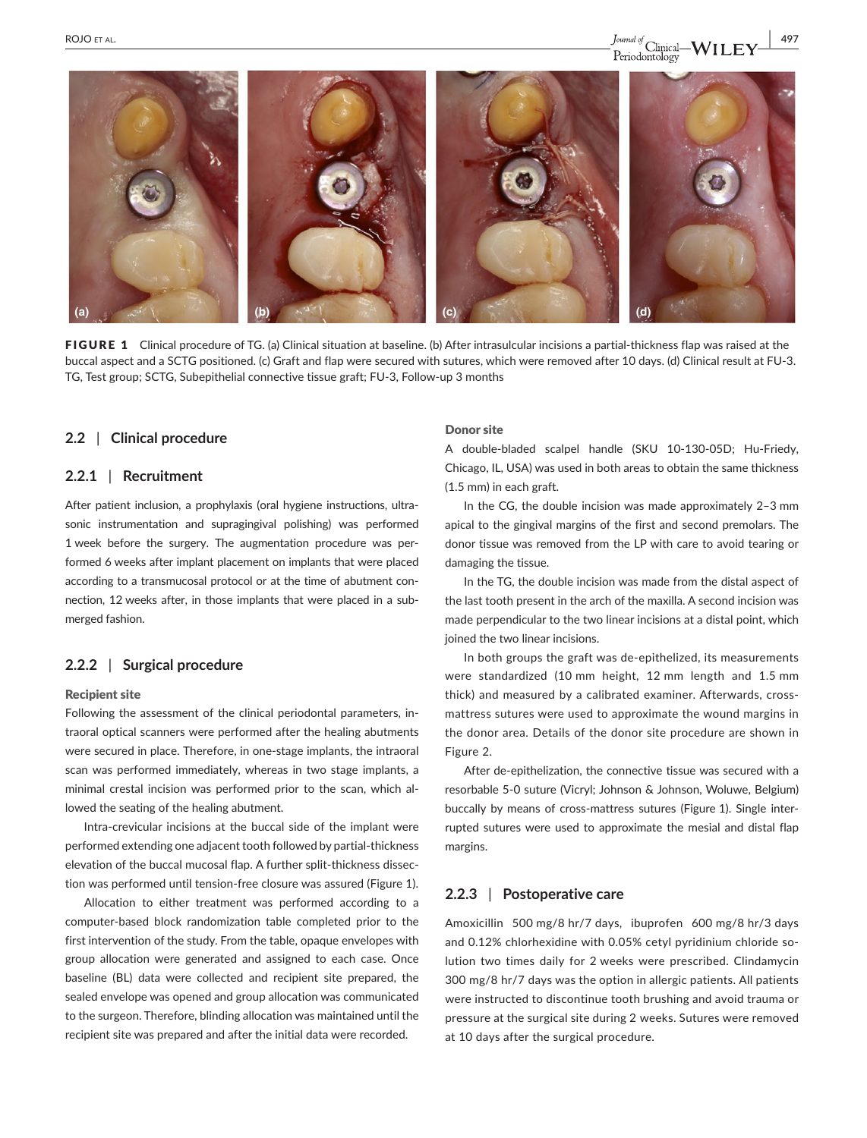

FIGURE 1 Clinical procedure of TG. (a) Clinical situation at baseline. (b) After intrasulcular incisions a partial-thickness flap was raised at the buccal aspect and a SCTG positioned. (c) Graft and flap were secured with sutures, which were removed after 10 days. (d) Clinical result at FU-3. TG, Test group; SCTG, Subepithelial connective tissue graft; FU-3, Follow-up 3 months

## **2.2** | **Clinical procedure**

## **2.2.1** | **Recruitment**

After patient inclusion, a prophylaxis (oral hygiene instructions, ultrasonic instrumentation and supragingival polishing) was performed 1 week before the surgery. The augmentation procedure was performed 6 weeks after implant placement on implants that were placed according to a transmucosal protocol or at the time of abutment connection, 12 weeks after, in those implants that were placed in a submerged fashion.

## **2.2.2** | **Surgical procedure**

#### Recipient site

Following the assessment of the clinical periodontal parameters, intraoral optical scanners were performed after the healing abutments were secured in place. Therefore, in one-stage implants, the intraoral scan was performed immediately, whereas in two stage implants, a minimal crestal incision was performed prior to the scan, which allowed the seating of the healing abutment.

Intra-crevicular incisions at the buccal side of the implant were performed extending one adjacent tooth followed by partial-thickness elevation of the buccal mucosal flap. A further split-thickness dissection was performed until tension-free closure was assured (Figure 1).

Allocation to either treatment was performed according to a computer-based block randomization table completed prior to the first intervention of the study. From the table, opaque envelopes with group allocation were generated and assigned to each case. Once baseline (BL) data were collected and recipient site prepared, the sealed envelope was opened and group allocation was communicated to the surgeon. Therefore, blinding allocation was maintained until the recipient site was prepared and after the initial data were recorded.

#### Donor site

A double-bladed scalpel handle (SKU 10-130-05D; Hu-Friedy, Chicago, IL, USA) was used in both areas to obtain the same thickness (1.5 mm) in each graft.

In the CG, the double incision was made approximately 2–3 mm apical to the gingival margins of the first and second premolars. The donor tissue was removed from the LP with care to avoid tearing or damaging the tissue.

In the TG, the double incision was made from the distal aspect of the last tooth present in the arch of the maxilla. A second incision was made perpendicular to the two linear incisions at a distal point, which joined the two linear incisions.

In both groups the graft was de-epithelized, its measurements were standardized (10 mm height, 12 mm length and 1.5 mm thick) and measured by a calibrated examiner. Afterwards, crossmattress sutures were used to approximate the wound margins in the donor area. Details of the donor site procedure are shown in Figure 2.

After de-epithelization, the connective tissue was secured with a resorbable 5-0 suture (Vicryl; Johnson & Johnson, Woluwe, Belgium) buccally by means of cross-mattress sutures (Figure 1). Single interrupted sutures were used to approximate the mesial and distal flap margins.

#### **2.2.3** | **Postoperative care**

Amoxicillin 500 mg/8 hr/7 days, ibuprofen 600 mg/8 hr/3 days and 0.12% chlorhexidine with 0.05% cetyl pyridinium chloride solution two times daily for 2 weeks were prescribed. Clindamycin 300 mg/8 hr/7 days was the option in allergic patients. All patients were instructed to discontinue tooth brushing and avoid trauma or pressure at the surgical site during 2 weeks. Sutures were removed at 10 days after the surgical procedure.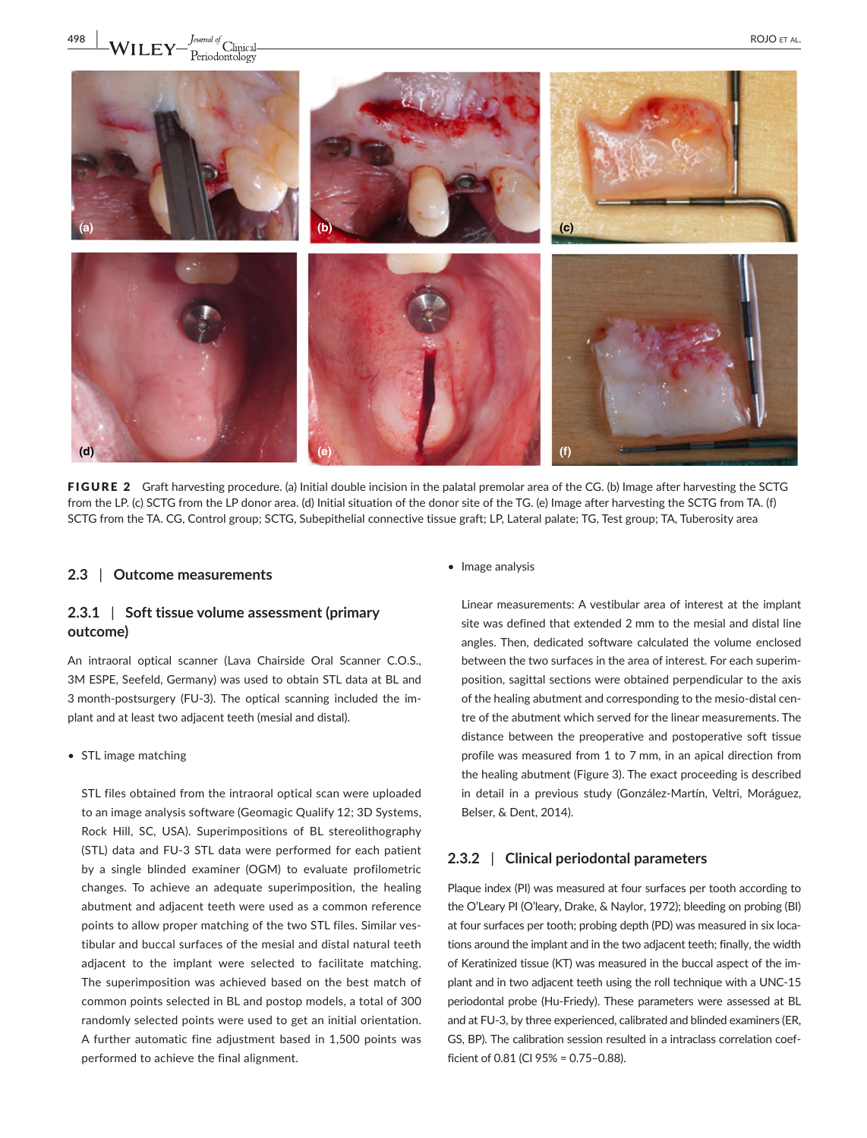

FIGURE 2 Graft harvesting procedure. (a) Initial double incision in the palatal premolar area of the CG. (b) Image after harvesting the SCTG from the LP. (c) SCTG from the LP donor area. (d) Initial situation of the donor site of the TG. (e) Image after harvesting the SCTG from TA. (f) SCTG from the TA. CG, Control group; SCTG, Subepithelial connective tissue graft; LP, Lateral palate; TG, Test group; TA, Tuberosity area

#### **2.3** | **Outcome measurements**

## **2.3.1** | **Soft tissue volume assessment (primary outcome)**

An intraoral optical scanner (Lava Chairside Oral Scanner C.O.S., 3M ESPE, Seefeld, Germany) was used to obtain STL data at BL and 3 month-postsurgery (FU-3). The optical scanning included the implant and at least two adjacent teeth (mesial and distal).

• STL image matching

STL files obtained from the intraoral optical scan were uploaded to an image analysis software (Geomagic Qualify 12; 3D Systems, Rock Hill, SC, USA). Superimpositions of BL stereolithography (STL) data and FU-3 STL data were performed for each patient by a single blinded examiner (OGM) to evaluate profilometric changes. To achieve an adequate superimposition, the healing abutment and adjacent teeth were used as a common reference points to allow proper matching of the two STL files. Similar vestibular and buccal surfaces of the mesial and distal natural teeth adjacent to the implant were selected to facilitate matching. The superimposition was achieved based on the best match of common points selected in BL and postop models, a total of 300 randomly selected points were used to get an initial orientation. A further automatic fine adjustment based in 1,500 points was performed to achieve the final alignment.

• Image analysis

Linear measurements: A vestibular area of interest at the implant site was defined that extended 2 mm to the mesial and distal line angles. Then, dedicated software calculated the volume enclosed between the two surfaces in the area of interest. For each superimposition, sagittal sections were obtained perpendicular to the axis of the healing abutment and corresponding to the mesio-distal centre of the abutment which served for the linear measurements. The distance between the preoperative and postoperative soft tissue profile was measured from 1 to 7 mm, in an apical direction from the healing abutment (Figure 3). The exact proceeding is described in detail in a previous study (González-Martín, Veltri, Moráguez, Belser, & Dent, 2014).

## **2.3.2** | **Clinical periodontal parameters**

Plaque index (PI) was measured at four surfaces per tooth according to the O'Leary PI (O'leary, Drake, & Naylor, 1972); bleeding on probing (BI) at four surfaces per tooth; probing depth (PD) was measured in six locations around the implant and in the two adjacent teeth; finally, the width of Keratinized tissue (KT) was measured in the buccal aspect of the implant and in two adjacent teeth using the roll technique with a UNC-15 periodontal probe (Hu-Friedy). These parameters were assessed at BL and at FU-3, by three experienced, calibrated and blinded examiners (ER, GS, BP). The calibration session resulted in a intraclass correlation coefficient of 0.81 (CI 95% = 0.75–0.88).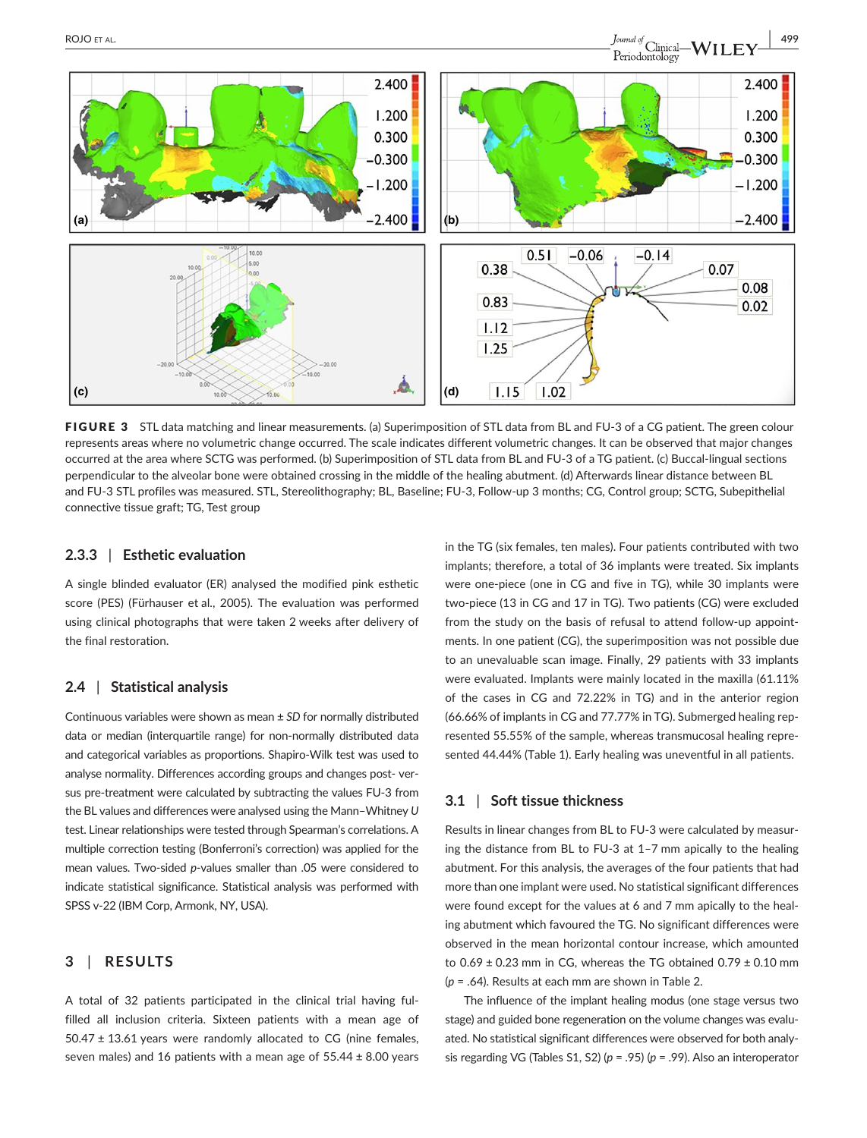

FIGURE 3 STL data matching and linear measurements. (a) Superimposition of STL data from BL and FU-3 of a CG patient. The green colour represents areas where no volumetric change occurred. The scale indicates different volumetric changes. It can be observed that major changes occurred at the area where SCTG was performed. (b) Superimposition of STL data from BL and FU-3 of a TG patient. (c) Buccal-lingual sections perpendicular to the alveolar bone were obtained crossing in the middle of the healing abutment. (d) Afterwards linear distance between BL and FU-3 STL profiles was measured. STL, Stereolithography; BL, Baseline; FU-3, Follow-up 3 months; CG, Control group; SCTG, Subepithelial connective tissue graft; TG, Test group

## **2.3.3** | **Esthetic evaluation**

A single blinded evaluator (ER) analysed the modified pink esthetic score (PES) (Fürhauser et al., 2005). The evaluation was performed using clinical photographs that were taken 2 weeks after delivery of the final restoration.

#### **2.4** | **Statistical analysis**

Continuous variables were shown as mean ± *SD* for normally distributed data or median (interquartile range) for non-normally distributed data and categorical variables as proportions. Shapiro-Wilk test was used to analyse normality. Differences according groups and changes post- versus pre-treatment were calculated by subtracting the values FU-3 from the BL values and differences were analysed using the Mann–Whitney *U* test. Linear relationships were tested through Spearman's correlations. A multiple correction testing (Bonferroni's correction) was applied for the mean values. Two-sided *p*-values smaller than .05 were considered to indicate statistical significance. Statistical analysis was performed with SPSS v-22 (IBM Corp, Armonk, NY, USA).

## **3** | **RESULTS**

A total of 32 patients participated in the clinical trial having fulfilled all inclusion criteria. Sixteen patients with a mean age of  $50.47 \pm 13.61$  years were randomly allocated to CG (nine females, seven males) and 16 patients with a mean age of 55.44 ± 8.00 years in the TG (six females, ten males). Four patients contributed with two implants; therefore, a total of 36 implants were treated. Six implants were one-piece (one in CG and five in TG), while 30 implants were two-piece (13 in CG and 17 in TG). Two patients (CG) were excluded from the study on the basis of refusal to attend follow-up appointments. In one patient (CG), the superimposition was not possible due to an unevaluable scan image. Finally, 29 patients with 33 implants were evaluated. Implants were mainly located in the maxilla (61.11% of the cases in CG and 72.22% in TG) and in the anterior region (66.66% of implants in CG and 77.77% in TG). Submerged healing represented 55.55% of the sample, whereas transmucosal healing represented 44.44% (Table 1). Early healing was uneventful in all patients.

## **3.1** | **Soft tissue thickness**

Results in linear changes from BL to FU-3 were calculated by measuring the distance from BL to FU-3 at 1–7 mm apically to the healing abutment. For this analysis, the averages of the four patients that had more than one implant were used. No statistical significant differences were found except for the values at 6 and 7 mm apically to the healing abutment which favoured the TG. No significant differences were observed in the mean horizontal contour increase, which amounted to  $0.69 \pm 0.23$  mm in CG, whereas the TG obtained  $0.79 \pm 0.10$  mm (*p* = .64). Results at each mm are shown in Table 2.

The influence of the implant healing modus (one stage versus two stage) and guided bone regeneration on the volume changes was evaluated. No statistical significant differences were observed for both analysis regarding VG (Tables S1, S2) (*p* = .95) (*p* = .99). Also an interoperator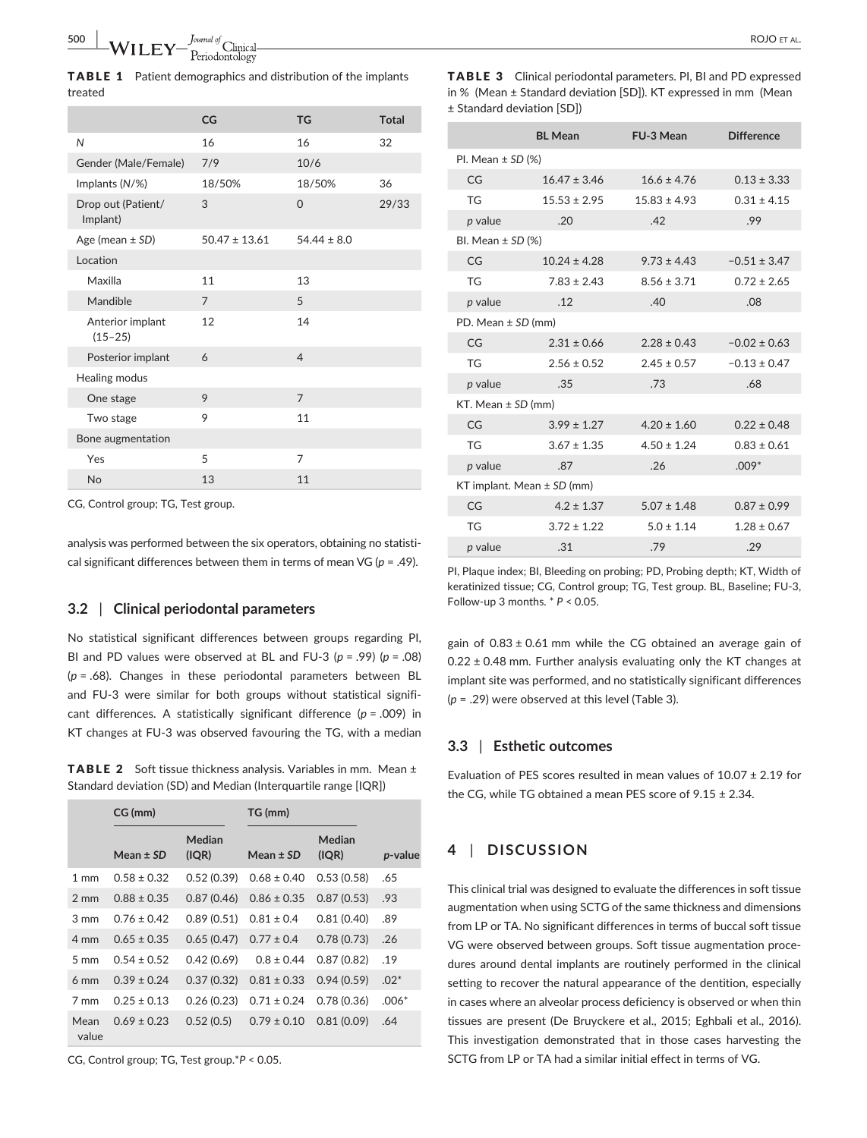TABLE 1 Patient demographics and distribution of the implants treated

|                                 | CG                | <b>TG</b>       | <b>Total</b> |
|---------------------------------|-------------------|-----------------|--------------|
| N                               | 16                | 16              | 32           |
| Gender (Male/Female)            | 7/9               | 10/6            |              |
| Implants (N/%)                  | 18/50%            | 18/50%          | 36           |
| Drop out (Patient/<br>Implant)  | 3                 | $\Omega$        | 29/33        |
| Age (mean $\pm$ SD)             | $50.47 \pm 13.61$ | $54.44 \pm 8.0$ |              |
| Location                        |                   |                 |              |
| Maxilla                         | 11                | 13              |              |
| Mandible                        | $\overline{7}$    | 5               |              |
| Anterior implant<br>$(15 - 25)$ | 12                | 14              |              |
| Posterior implant               | 6                 | $\overline{4}$  |              |
| Healing modus                   |                   |                 |              |
| One stage                       | 9                 | $\overline{7}$  |              |
| Two stage                       | 9                 | 11              |              |
| Bone augmentation               |                   |                 |              |
| Yes                             | 5                 | $\overline{7}$  |              |
| <b>No</b>                       | 13                | 11              |              |

CG, Control group; TG, Test group.

analysis was performed between the six operators, obtaining no statistical significant differences between them in terms of mean VG (*p* = .49).

#### **3.2** | **Clinical periodontal parameters**

No statistical significant differences between groups regarding PI, BI and PD values were observed at BL and FU-3 (*p* = .99) (*p* = .08) (*p* = .68). Changes in these periodontal parameters between BL and FU-3 were similar for both groups without statistical significant differences. A statistically significant difference (*p* = .009) in KT changes at FU-3 was observed favouring the TG, with a median

TABLE 2 Soft tissue thickness analysis. Variables in mm. Mean ± Standard deviation (SD) and Median (Interquartile range [IQR])

|                 | CG (mm)         |                 | TG (mm)         |                 |         |
|-----------------|-----------------|-----------------|-----------------|-----------------|---------|
|                 | Mean $\pm$ SD   | Median<br>(IQR) | Mean $\pm$ SD   | Median<br>(IQR) | p-value |
| $1 \text{ mm}$  | $0.58 \pm 0.32$ | 0.52(0.39)      | $0.68 \pm 0.40$ | 0.53(0.58)      | .65     |
| $2 \text{ mm}$  | $0.88 \pm 0.35$ | 0.87(0.46)      | $0.86 \pm 0.35$ | 0.87(0.53)      | .93     |
| 3 mm            | $0.76 \pm 0.42$ | 0.89(0.51)      | $0.81 \pm 0.4$  | 0.81(0.40)      | .89     |
| 4 mm            | $0.65 \pm 0.35$ | 0.65(0.47)      | $0.77 \pm 0.4$  | 0.78(0.73)      | .26     |
| $5 \text{ mm}$  | $0.54 \pm 0.52$ | 0.42(0.69)      | $0.8 \pm 0.44$  | 0.87(0.82)      | .19     |
| 6 <sub>mm</sub> | $0.39 \pm 0.24$ | 0.37(0.32)      | $0.81 \pm 0.33$ | 0.94(0.59)      | $.02*$  |
| 7 mm            | $0.25 \pm 0.13$ | 0.26(0.23)      | $0.71 \pm 0.24$ | 0.78(0.36)      | $.006*$ |
| Mean<br>value   | $0.69 \pm 0.23$ | 0.52(0.5)       | $0.79 \pm 0.10$ | 0.81(0.09)      | .64     |

CG, Control group; TG, Test group.\**P* < 0.05.

TABLE 3 Clinical periodontal parameters. PI, BI and PD expressed in % (Mean ± Standard deviation [SD]). KT expressed in mm (Mean ± Standard deviation [SD])

|                                | <b>BL</b> Mean   | FU-3 Mean        | <b>Difference</b> |  |  |  |
|--------------------------------|------------------|------------------|-------------------|--|--|--|
| PI. Mean $\pm$ SD (%)          |                  |                  |                   |  |  |  |
| CG                             | $16.47 \pm 3.46$ | $16.6 \pm 4.76$  | $0.13 \pm 3.33$   |  |  |  |
| TG                             | $15.53 \pm 2.95$ | $15.83 \pm 4.93$ | $0.31 \pm 4.15$   |  |  |  |
| p value                        | .20              | .42              | .99               |  |  |  |
| BI. Mean $\pm$ SD (%)          |                  |                  |                   |  |  |  |
| CG                             | $10.24 \pm 4.28$ | $9.73 \pm 4.43$  | $-0.51 \pm 3.47$  |  |  |  |
| <b>TG</b>                      | $7.83 \pm 2.43$  | $8.56 \pm 3.71$  | $0.72 \pm 2.65$   |  |  |  |
| p value                        | .12              | .40              | .08               |  |  |  |
| PD. Mean $\pm$ SD (mm)         |                  |                  |                   |  |  |  |
| CG                             | $2.31 \pm 0.66$  | $2.28 \pm 0.43$  | $-0.02 \pm 0.63$  |  |  |  |
| <b>TG</b>                      | $2.56 \pm 0.52$  | $2.45 \pm 0.57$  | $-0.13 \pm 0.47$  |  |  |  |
| p value                        | .35              | .73              | .68               |  |  |  |
| KT. Mean $\pm$ SD (mm)         |                  |                  |                   |  |  |  |
| CG                             | $3.99 \pm 1.27$  | $4.20 \pm 1.60$  | $0.22 \pm 0.48$   |  |  |  |
| <b>TG</b>                      | $3.67 \pm 1.35$  | $4.50 \pm 1.24$  | $0.83 \pm 0.61$   |  |  |  |
| p value                        | .87              | .26              | $.009*$           |  |  |  |
| KT implant. Mean $\pm$ SD (mm) |                  |                  |                   |  |  |  |
| CG                             | $4.2 \pm 1.37$   | $5.07 \pm 1.48$  | $0.87 \pm 0.99$   |  |  |  |
| TG                             | $3.72 \pm 1.22$  | $5.0 \pm 1.14$   | $1.28 \pm 0.67$   |  |  |  |
| p value                        | .31              | .79              | .29               |  |  |  |

PI, Plaque index; BI, Bleeding on probing; PD, Probing depth; KT, Width of keratinized tissue; CG, Control group; TG, Test group. BL, Baseline; FU-3, Follow-up 3 months. \* *P* < 0.05.

gain of  $0.83 \pm 0.61$  mm while the CG obtained an average gain of  $0.22 \pm 0.48$  mm. Further analysis evaluating only the KT changes at implant site was performed, and no statistically significant differences (*p* = .29) were observed at this level (Table 3).

#### **3.3** | **Esthetic outcomes**

Evaluation of PES scores resulted in mean values of 10.07 ± 2.19 for the CG, while TG obtained a mean PES score of 9.15 ± 2.34.

## **4** | **DISCUSSION**

This clinical trial was designed to evaluate the differences in soft tissue augmentation when using SCTG of the same thickness and dimensions from LP or TA. No significant differences in terms of buccal soft tissue VG were observed between groups. Soft tissue augmentation procedures around dental implants are routinely performed in the clinical setting to recover the natural appearance of the dentition, especially in cases where an alveolar process deficiency is observed or when thin tissues are present (De Bruyckere et al., 2015; Eghbali et al., 2016). This investigation demonstrated that in those cases harvesting the SCTG from LP or TA had a similar initial effect in terms of VG.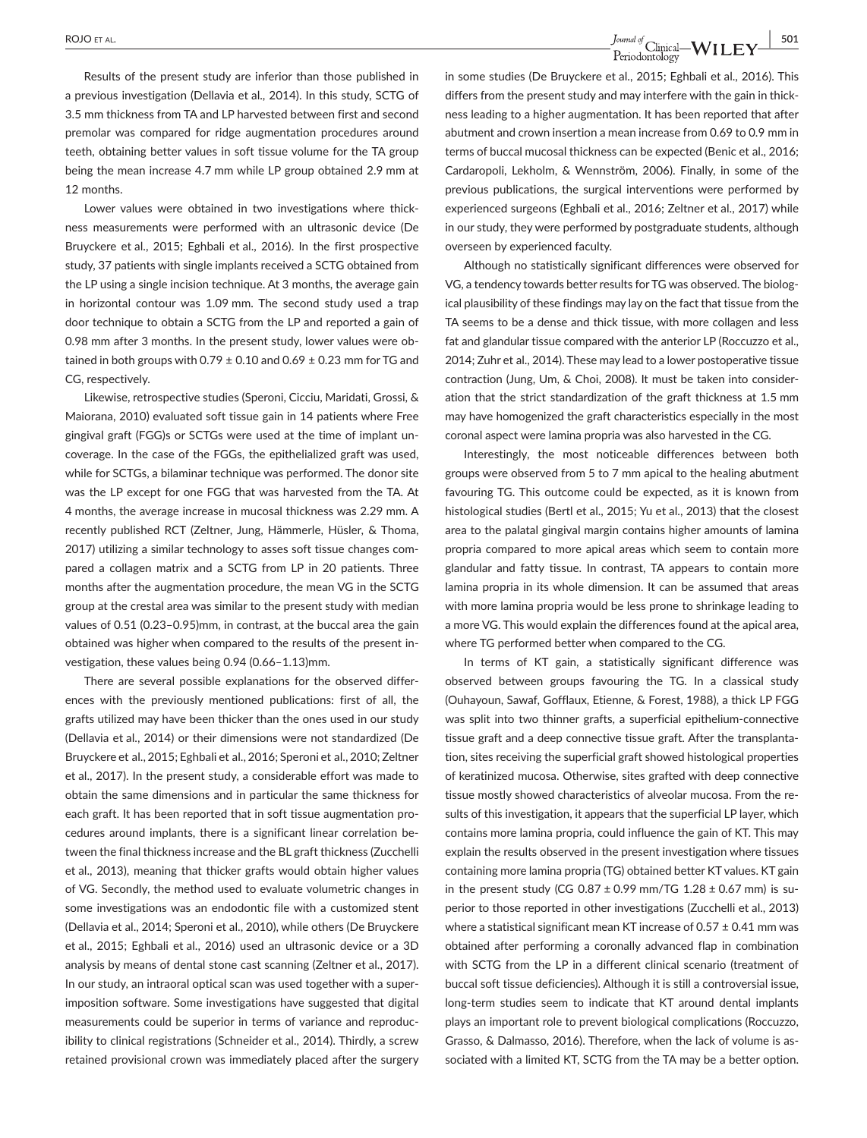**<u>Pound of</u>** Clinical—WILEY  $\frac{1}{2}$  **501**<br> $\frac{1}{2}$   $\frac{1}{2}$   $\frac{1}{2}$   $\frac{1}{2}$   $\frac{1}{2}$   $\frac{1}{2}$   $\frac{1}{2}$   $\frac{1}{2}$   $\frac{1}{2}$   $\frac{1}{2}$   $\frac{1}{2}$   $\frac{1}{2}$   $\frac{1}{2}$   $\frac{1}{2}$   $\frac{1}{2}$   $\frac{1}{2}$   $\frac{1}{2}$   $\frac{1}{2$ 

Results of the present study are inferior than those published in a previous investigation (Dellavia et al., 2014). In this study, SCTG of 3.5 mm thickness from TA and LP harvested between first and second premolar was compared for ridge augmentation procedures around teeth, obtaining better values in soft tissue volume for the TA group being the mean increase 4.7 mm while LP group obtained 2.9 mm at 12 months.

Lower values were obtained in two investigations where thickness measurements were performed with an ultrasonic device (De Bruyckere et al., 2015; Eghbali et al., 2016). In the first prospective study, 37 patients with single implants received a SCTG obtained from the LP using a single incision technique. At 3 months, the average gain in horizontal contour was 1.09 mm. The second study used a trap door technique to obtain a SCTG from the LP and reported a gain of 0.98 mm after 3 months. In the present study, lower values were obtained in both groups with 0.79  $\pm$  0.10 and 0.69  $\pm$  0.23 mm for TG and CG, respectively.

Likewise, retrospective studies (Speroni, Cicciu, Maridati, Grossi, & Maiorana, 2010) evaluated soft tissue gain in 14 patients where Free gingival graft (FGG)s or SCTGs were used at the time of implant uncoverage. In the case of the FGGs, the epithelialized graft was used, while for SCTGs, a bilaminar technique was performed. The donor site was the LP except for one FGG that was harvested from the TA. At 4 months, the average increase in mucosal thickness was 2.29 mm. A recently published RCT (Zeltner, Jung, Hämmerle, Hüsler, & Thoma, 2017) utilizing a similar technology to asses soft tissue changes compared a collagen matrix and a SCTG from LP in 20 patients. Three months after the augmentation procedure, the mean VG in the SCTG group at the crestal area was similar to the present study with median values of 0.51 (0.23–0.95)mm, in contrast, at the buccal area the gain obtained was higher when compared to the results of the present investigation, these values being 0.94 (0.66–1.13)mm.

There are several possible explanations for the observed differences with the previously mentioned publications: first of all, the grafts utilized may have been thicker than the ones used in our study (Dellavia et al., 2014) or their dimensions were not standardized (De Bruyckere et al., 2015; Eghbali et al., 2016; Speroni et al., 2010; Zeltner et al., 2017). In the present study, a considerable effort was made to obtain the same dimensions and in particular the same thickness for each graft. It has been reported that in soft tissue augmentation procedures around implants, there is a significant linear correlation between the final thickness increase and the BL graft thickness (Zucchelli et al., 2013), meaning that thicker grafts would obtain higher values of VG. Secondly, the method used to evaluate volumetric changes in some investigations was an endodontic file with a customized stent (Dellavia et al., 2014; Speroni et al., 2010), while others (De Bruyckere et al., 2015; Eghbali et al., 2016) used an ultrasonic device or a 3D analysis by means of dental stone cast scanning (Zeltner et al., 2017). In our study, an intraoral optical scan was used together with a superimposition software. Some investigations have suggested that digital measurements could be superior in terms of variance and reproducibility to clinical registrations (Schneider et al., 2014). Thirdly, a screw retained provisional crown was immediately placed after the surgery in some studies (De Bruyckere et al., 2015; Eghbali et al., 2016). This differs from the present study and may interfere with the gain in thickness leading to a higher augmentation. It has been reported that after abutment and crown insertion a mean increase from 0.69 to 0.9 mm in terms of buccal mucosal thickness can be expected (Benic et al., 2016; Cardaropoli, Lekholm, & Wennström, 2006). Finally, in some of the previous publications, the surgical interventions were performed by experienced surgeons (Eghbali et al., 2016; Zeltner et al., 2017) while in our study, they were performed by postgraduate students, although overseen by experienced faculty.

Although no statistically significant differences were observed for VG, a tendency towards better results for TG was observed. The biological plausibility of these findings may lay on the fact that tissue from the TA seems to be a dense and thick tissue, with more collagen and less fat and glandular tissue compared with the anterior LP (Roccuzzo et al., 2014; Zuhr et al., 2014). These may lead to a lower postoperative tissue contraction (Jung, Um, & Choi, 2008). It must be taken into consideration that the strict standardization of the graft thickness at 1.5 mm may have homogenized the graft characteristics especially in the most coronal aspect were lamina propria was also harvested in the CG.

Interestingly, the most noticeable differences between both groups were observed from 5 to 7 mm apical to the healing abutment favouring TG. This outcome could be expected, as it is known from histological studies (Bertl et al., 2015; Yu et al., 2013) that the closest area to the palatal gingival margin contains higher amounts of lamina propria compared to more apical areas which seem to contain more glandular and fatty tissue. In contrast, TA appears to contain more lamina propria in its whole dimension. It can be assumed that areas with more lamina propria would be less prone to shrinkage leading to a more VG. This would explain the differences found at the apical area, where TG performed better when compared to the CG.

In terms of KT gain, a statistically significant difference was observed between groups favouring the TG. In a classical study (Ouhayoun, Sawaf, Gofflaux, Etienne, & Forest, 1988), a thick LP FGG was split into two thinner grafts, a superficial epithelium-connective tissue graft and a deep connective tissue graft. After the transplantation, sites receiving the superficial graft showed histological properties of keratinized mucosa. Otherwise, sites grafted with deep connective tissue mostly showed characteristics of alveolar mucosa. From the results of this investigation, it appears that the superficial LP layer, which contains more lamina propria, could influence the gain of KT. This may explain the results observed in the present investigation where tissues containing more lamina propria (TG) obtained better KT values. KT gain in the present study (CG 0.87  $\pm$  0.99 mm/TG 1.28  $\pm$  0.67 mm) is superior to those reported in other investigations (Zucchelli et al., 2013) where a statistical significant mean KT increase of 0.57 ± 0.41 mm was obtained after performing a coronally advanced flap in combination with SCTG from the LP in a different clinical scenario (treatment of buccal soft tissue deficiencies). Although it is still a controversial issue, long-term studies seem to indicate that KT around dental implants plays an important role to prevent biological complications (Roccuzzo, Grasso, & Dalmasso, 2016). Therefore, when the lack of volume is associated with a limited KT, SCTG from the TA may be a better option.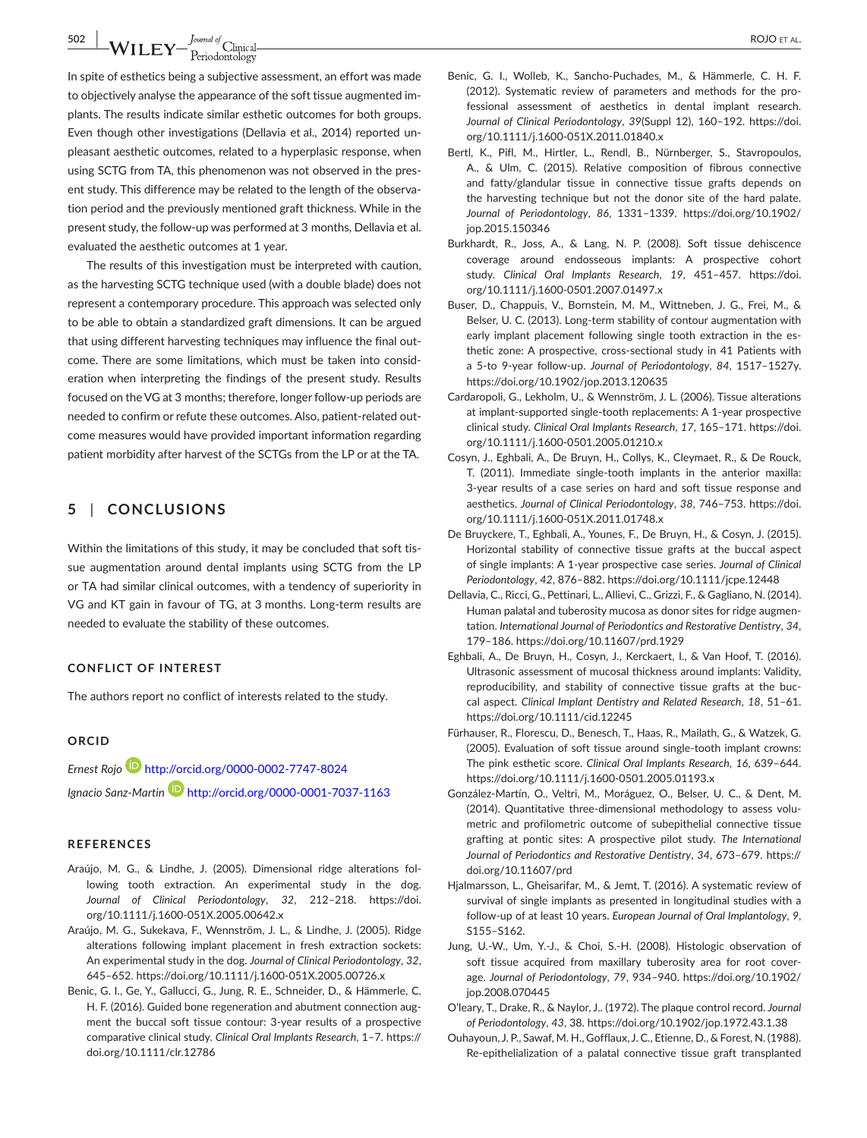**502 WILEY**  $\frac{J_{\text{quad of}}}{P_{\text{eriodontology}}}$ 

In spite of esthetics being a subjective assessment, an effort was made to objectively analyse the appearance of the soft tissue augmented implants. The results indicate similar esthetic outcomes for both groups. Even though other investigations (Dellavia et al., 2014) reported unpleasant aesthetic outcomes, related to a hyperplasic response, when using SCTG from TA, this phenomenon was not observed in the present study. This difference may be related to the length of the observation period and the previously mentioned graft thickness. While in the present study, the follow-up was performed at 3 months, Dellavia et al. evaluated the aesthetic outcomes at 1 year.

The results of this investigation must be interpreted with caution, as the harvesting SCTG technique used (with a double blade) does not represent a contemporary procedure. This approach was selected only to be able to obtain a standardized graft dimensions. It can be argued that using different harvesting techniques may influence the final outcome. There are some limitations, which must be taken into consideration when interpreting the findings of the present study. Results focused on the VG at 3 months; therefore, longer follow-up periods are needed to confirm or refute these outcomes. Also, patient-related outcome measures would have provided important information regarding patient morbidity after harvest of the SCTGs from the LP or at the TA.

## **5** | **CONCLUSIONS**

Within the limitations of this study, it may be concluded that soft tissue augmentation around dental implants using SCTG from the LP or TA had similar clinical outcomes, with a tendency of superiority in VG and KT gain in favour of TG, at 3 months. Long-term results are needed to evaluate the stability of these outcomes.

#### **CONFLICT OF INTEREST**

The authors report no conflict of interests related to the study.

#### **ORCID**

*Ernest Rojo* <http://orcid.org/0000-0002-7747-8024> *Ignacio Sanz-Martin* <http://orcid.org/0000-0001-7037-1163>

#### **REFERENCES**

- Araújo, M. G., & Lindhe, J. (2005). Dimensional ridge alterations following tooth extraction. An experimental study in the dog. *Journal of Clinical Periodontology*, *32*, 212–218. [https://doi.](https://doi.org/10.1111/j.1600-051X.2005.00642.x) [org/10.1111/j.1600-051X.2005.00642.x](https://doi.org/10.1111/j.1600-051X.2005.00642.x)
- Araújo, M. G., Sukekava, F., Wennström, J. L., & Lindhe, J. (2005). Ridge alterations following implant placement in fresh extraction sockets: An experimental study in the dog. *Journal of Clinical Periodontology*, *32*, 645–652. <https://doi.org/10.1111/j.1600-051X.2005.00726.x>
- Benic, G. I., Ge, Y., Gallucci, G., Jung, R. E., Schneider, D., & Hämmerle, C. H. F. (2016). Guided bone regeneration and abutment connection augment the buccal soft tissue contour: 3-year results of a prospective comparative clinical study. *Clinical Oral Implants Research*, 1–7. [https://](https://doi.org/10.1111/clr.12786) [doi.org/10.1111/clr.12786](https://doi.org/10.1111/clr.12786)
- Benic, G. I., Wolleb, K., Sancho-Puchades, M., & Hämmerle, C. H. F. (2012). Systematic review of parameters and methods for the professional assessment of aesthetics in dental implant research. *Journal of Clinical Periodontology*, *39*(Suppl 12), 160–192. [https://doi.](https://doi.org/10.1111/j.1600-051X.2011.01840.x) [org/10.1111/j.1600-051X.2011.01840.x](https://doi.org/10.1111/j.1600-051X.2011.01840.x)
- Bertl, K., Pifl, M., Hirtler, L., Rendl, B., Nürnberger, S., Stavropoulos, A., & Ulm, C. (2015). Relative composition of fibrous connective and fatty/glandular tissue in connective tissue grafts depends on the harvesting technique but not the donor site of the hard palate. *Journal of Periodontology*, *86*, 1331–1339. [https://doi.org/10.1902/](https://doi.org/10.1902/jop.2015.150346) [jop.2015.150346](https://doi.org/10.1902/jop.2015.150346)
- Burkhardt, R., Joss, A., & Lang, N. P. (2008). Soft tissue dehiscence coverage around endosseous implants: A prospective cohort study. *Clinical Oral Implants Research*, *19*, 451–457. [https://doi.](https://doi.org/10.1111/j.1600-0501.2007.01497.x) [org/10.1111/j.1600-0501.2007.01497.x](https://doi.org/10.1111/j.1600-0501.2007.01497.x)
- Buser, D., Chappuis, V., Bornstein, M. M., Wittneben, J. G., Frei, M., & Belser, U. C. (2013). Long-term stability of contour augmentation with early implant placement following single tooth extraction in the esthetic zone: A prospective, cross-sectional study in 41 Patients with a 5-to 9-year follow-up. *Journal of Periodontology*, *84*, 1517–1527y. <https://doi.org/10.1902/jop.2013.120635>
- Cardaropoli, G., Lekholm, U., & Wennström, J. L. (2006). Tissue alterations at implant-supported single-tooth replacements: A 1-year prospective clinical study. *Clinical Oral Implants Research*, *17*, 165–171. [https://doi.](https://doi.org/10.1111/j.1600-0501.2005.01210.x) [org/10.1111/j.1600-0501.2005.01210.x](https://doi.org/10.1111/j.1600-0501.2005.01210.x)
- Cosyn, J., Eghbali, A., De Bruyn, H., Collys, K., Cleymaet, R., & De Rouck, T. (2011). Immediate single-tooth implants in the anterior maxilla: 3-year results of a case series on hard and soft tissue response and aesthetics. *Journal of Clinical Periodontology*, *38*, 746–753. [https://doi.](https://doi.org/10.1111/j.1600-051X.2011.01748.x) [org/10.1111/j.1600-051X.2011.01748.x](https://doi.org/10.1111/j.1600-051X.2011.01748.x)
- De Bruyckere, T., Eghbali, A., Younes, F., De Bruyn, H., & Cosyn, J. (2015). Horizontal stability of connective tissue grafts at the buccal aspect of single implants: A 1-year prospective case series. *Journal of Clinical Periodontology*, *42*, 876–882.<https://doi.org/10.1111/jcpe.12448>
- Dellavia, C., Ricci, G., Pettinari, L., Allievi, C., Grizzi, F., & Gagliano, N. (2014). Human palatal and tuberosity mucosa as donor sites for ridge augmentation. *International Journal of Periodontics and Restorative Dentistry*, *34*, 179–186. <https://doi.org/10.11607/prd.1929>
- Eghbali, A., De Bruyn, H., Cosyn, J., Kerckaert, I., & Van Hoof, T. (2016). Ultrasonic assessment of mucosal thickness around implants: Validity, reproducibility, and stability of connective tissue grafts at the buccal aspect. *Clinical Implant Dentistry and Related Research*, *18*, 51–61. <https://doi.org/10.1111/cid.12245>
- Fürhauser, R., Florescu, D., Benesch, T., Haas, R., Mailath, G., & Watzek, G. (2005). Evaluation of soft tissue around single-tooth implant crowns: The pink esthetic score. *Clinical Oral Implants Research*, *16*, 639–644. <https://doi.org/10.1111/j.1600-0501.2005.01193.x>
- González-Martín, O., Veltri, M., Moráguez, O., Belser, U. C., & Dent, M. (2014). Quantitative three-dimensional methodology to assess volumetric and profilometric outcome of subepithelial connective tissue grafting at pontic sites: A prospective pilot study. *The International Journal of Periodontics and Restorative Dentistry*, *34*, 673–679. [https://](https://doi.org/10.11607/prd) [doi.org/10.11607/prd](https://doi.org/10.11607/prd)
- Hjalmarsson, L., Gheisarifar, M., & Jemt, T. (2016). A systematic review of survival of single implants as presented in longitudinal studies with a follow-up of at least 10 years. *European Journal of Oral Implantology*, *9*, S155–S162.
- Jung, U.-W., Um, Y.-J., & Choi, S.-H. (2008). Histologic observation of soft tissue acquired from maxillary tuberosity area for root coverage. *Journal of Periodontology*, *79*, 934–940. [https://doi.org/10.1902/](https://doi.org/10.1902/jop.2008.070445) [jop.2008.070445](https://doi.org/10.1902/jop.2008.070445)
- O'leary, T., Drake, R., & Naylor, J.. (1972). The plaque control record. *Journal of Periodontology*, *43*, 38. <https://doi.org/10.1902/jop.1972.43.1.38>
- Ouhayoun, J. P., Sawaf, M. H., Gofflaux, J. C., Etienne, D., & Forest, N. (1988). Re-epithelialization of a palatal connective tissue graft transplanted